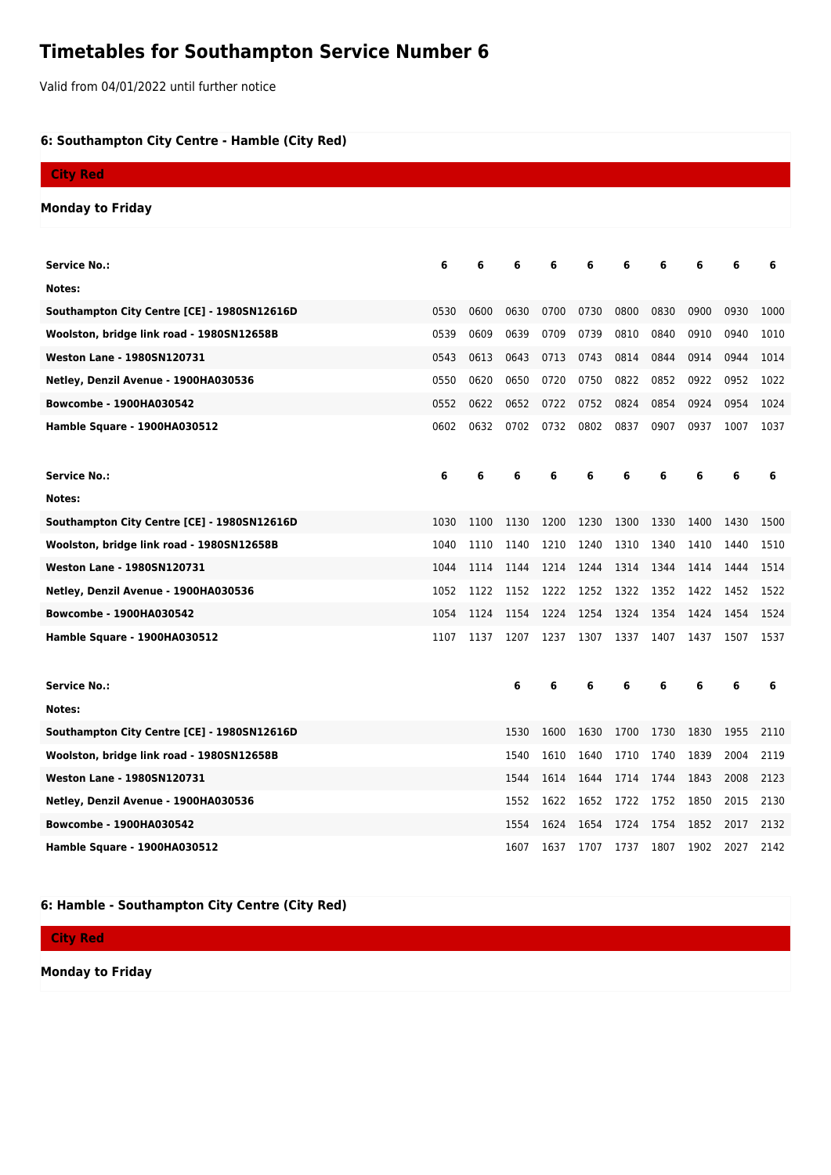## **Timetables for Southampton Service Number 6**

Valid from 04/01/2022 until further notice

## **6: Southampton City Centre - Hamble (City Red)**

| <b>City Red</b>                             |      |      |      |      |           |      |      |      |      |      |
|---------------------------------------------|------|------|------|------|-----------|------|------|------|------|------|
| <b>Monday to Friday</b>                     |      |      |      |      |           |      |      |      |      |      |
|                                             |      |      |      |      |           |      |      |      |      |      |
| <b>Service No.:</b>                         | 6    | 6    | 6    | 6    | 6         | 6    | 6    | 6    | 6    | 6    |
| Notes:                                      |      |      |      |      |           |      |      |      |      |      |
| Southampton City Centre [CE] - 1980SN12616D | 0530 | 0600 | 0630 | 0700 | 0730      | 0800 | 0830 | 0900 | 0930 | 1000 |
| Woolston, bridge link road - 1980SN12658B   | 0539 | 0609 | 0639 | 0709 | 0739      | 0810 | 0840 | 0910 | 0940 | 1010 |
| <b>Weston Lane - 1980SN120731</b>           | 0543 | 0613 | 0643 | 0713 | 0743      | 0814 | 0844 | 0914 | 0944 | 1014 |
| Netley, Denzil Avenue - 1900HA030536        | 0550 | 0620 | 0650 | 0720 | 0750      | 0822 | 0852 | 0922 | 0952 | 1022 |
| Bowcombe - 1900HA030542                     | 0552 | 0622 | 0652 | 0722 | 0752      | 0824 | 0854 | 0924 | 0954 | 1024 |
| <b>Hamble Square - 1900HA030512</b>         | 0602 | 0632 | 0702 | 0732 | 0802      | 0837 | 0907 | 0937 | 1007 | 1037 |
|                                             |      |      |      |      |           |      |      |      |      |      |
| <b>Service No.:</b>                         | 6    | 6    | 6    | 6    | 6         | 6    | 6    | 6    | 6    | 6    |
| Notes:                                      |      |      |      |      |           |      |      |      |      |      |
| Southampton City Centre [CE] - 1980SN12616D | 1030 | 1100 | 1130 | 1200 | 1230      | 1300 | 1330 | 1400 | 1430 | 1500 |
| Woolston, bridge link road - 1980SN12658B   | 1040 | 1110 | 1140 | 1210 | 1240      | 1310 | 1340 | 1410 | 1440 | 1510 |
| <b>Weston Lane - 1980SN120731</b>           | 1044 | 1114 | 1144 | 1214 | 1244      | 1314 | 1344 | 1414 | 1444 | 1514 |
| Netley, Denzil Avenue - 1900HA030536        | 1052 | 1122 | 1152 | 1222 | 1252      | 1322 | 1352 | 1422 | 1452 | 1522 |
| Bowcombe - 1900HA030542                     | 1054 | 1124 | 1154 | 1224 | 1254      | 1324 | 1354 | 1424 | 1454 | 1524 |
| Hamble Square - 1900HA030512                | 1107 | 1137 | 1207 | 1237 | 1307      | 1337 | 1407 | 1437 | 1507 | 1537 |
|                                             |      |      |      |      |           |      |      |      |      |      |
| <b>Service No.:</b>                         |      |      | 6    | 6    | 6         | 6    | 6    | 6    | 6    | 6    |
| Notes:                                      |      |      |      |      |           |      |      |      |      |      |
| Southampton City Centre [CE] - 1980SN12616D |      |      | 1530 | 1600 | 1630      | 1700 | 1730 | 1830 | 1955 | 2110 |
| Woolston, bridge link road - 1980SN12658B   |      |      | 1540 | 1610 | 1640      | 1710 | 1740 | 1839 | 2004 | 2119 |
| <b>Weston Lane - 1980SN120731</b>           |      |      | 1544 | 1614 | 1644      | 1714 | 1744 | 1843 | 2008 | 2123 |
| Netley, Denzil Avenue - 1900HA030536        |      |      | 1552 | 1622 | 1652      | 1722 | 1752 | 1850 | 2015 | 2130 |
| <b>Bowcombe - 1900HA030542</b>              |      |      | 1554 | 1624 | 1654      | 1724 | 1754 | 1852 | 2017 | 2132 |
| Hamble Square - 1900HA030512                |      |      | 1607 | 1637 | 1707 1737 |      | 1807 | 1902 | 2027 | 2142 |

## **6: Hamble - Southampton City Centre (City Red)**

| <b>City Red</b>         |  |  |
|-------------------------|--|--|
| <b>Monday to Friday</b> |  |  |